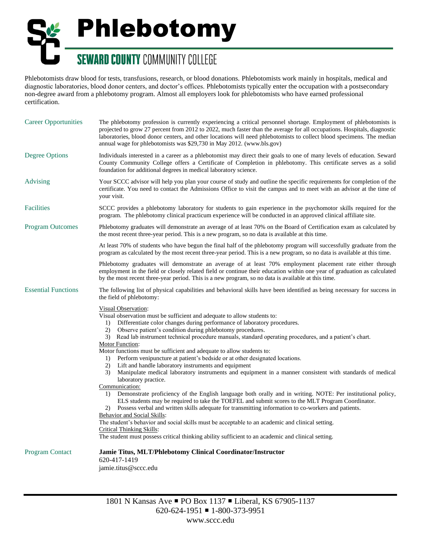## Phlebotomy **SEWARD COUNTY COMMUNITY COLLEGE**

Phlebotomists draw blood for tests, transfusions, research, or blood donations. Phlebotomists work mainly in hospitals, medical and diagnostic laboratories, blood donor centers, and doctor's offices. Phlebotomists typically enter the occupation with a postsecondary non-degree award from a phlebotomy program. Almost all employers look for phlebotomists who have earned professional certification.

| <b>Career Opportunities</b> | The phlebotomy profession is currently experiencing a critical personnel shortage. Employment of phlebotomists is<br>projected to grow 27 percent from 2012 to 2022, much faster than the average for all occupations. Hospitals, diagnostic<br>laboratories, blood donor centers, and other locations will need phlebotomists to collect blood specimens. The median<br>annual wage for phlebotomists was \$29,730 in May 2012. (www.bls.gov)                                                                                                                                                                                                                                                                                                                                                                                                                                                                                                                                                                                                                                                                                                                                                                                                                                                                                                                                                       |
|-----------------------------|------------------------------------------------------------------------------------------------------------------------------------------------------------------------------------------------------------------------------------------------------------------------------------------------------------------------------------------------------------------------------------------------------------------------------------------------------------------------------------------------------------------------------------------------------------------------------------------------------------------------------------------------------------------------------------------------------------------------------------------------------------------------------------------------------------------------------------------------------------------------------------------------------------------------------------------------------------------------------------------------------------------------------------------------------------------------------------------------------------------------------------------------------------------------------------------------------------------------------------------------------------------------------------------------------------------------------------------------------------------------------------------------------|
| <b>Degree Options</b>       | Individuals interested in a career as a phlebotomist may direct their goals to one of many levels of education. Seward<br>County Community College offers a Certificate of Completion in phlebotomy. This certificate serves as a solid<br>foundation for additional degrees in medical laboratory science.                                                                                                                                                                                                                                                                                                                                                                                                                                                                                                                                                                                                                                                                                                                                                                                                                                                                                                                                                                                                                                                                                          |
| Advising                    | Your SCCC advisor will help you plan your course of study and outline the specific requirements for completion of the<br>certificate. You need to contact the Admissions Office to visit the campus and to meet with an advisor at the time of<br>your visit.                                                                                                                                                                                                                                                                                                                                                                                                                                                                                                                                                                                                                                                                                                                                                                                                                                                                                                                                                                                                                                                                                                                                        |
| <b>Facilities</b>           | SCCC provides a phlebotomy laboratory for students to gain experience in the psychomotor skills required for the<br>program. The phlebotomy clinical practicum experience will be conducted in an approved clinical affiliate site.                                                                                                                                                                                                                                                                                                                                                                                                                                                                                                                                                                                                                                                                                                                                                                                                                                                                                                                                                                                                                                                                                                                                                                  |
| <b>Program Outcomes</b>     | Phlebotomy graduates will demonstrate an average of at least 70% on the Board of Certification exam as calculated by<br>the most recent three-year period. This is a new program, so no data is available at this time.                                                                                                                                                                                                                                                                                                                                                                                                                                                                                                                                                                                                                                                                                                                                                                                                                                                                                                                                                                                                                                                                                                                                                                              |
|                             | At least 70% of students who have begun the final half of the phlebotomy program will successfully graduate from the<br>program as calculated by the most recent three-year period. This is a new program, so no data is available at this time.                                                                                                                                                                                                                                                                                                                                                                                                                                                                                                                                                                                                                                                                                                                                                                                                                                                                                                                                                                                                                                                                                                                                                     |
|                             | Phlebotomy graduates will demonstrate an average of at least 70% employment placement rate either through<br>employment in the field or closely related field or continue their education within one year of graduation as calculated<br>by the most recent three-year period. This is a new program, so no data is available at this time.                                                                                                                                                                                                                                                                                                                                                                                                                                                                                                                                                                                                                                                                                                                                                                                                                                                                                                                                                                                                                                                          |
| <b>Essential Functions</b>  | The following list of physical capabilities and behavioral skills have been identified as being necessary for success in<br>the field of phlebotomy:                                                                                                                                                                                                                                                                                                                                                                                                                                                                                                                                                                                                                                                                                                                                                                                                                                                                                                                                                                                                                                                                                                                                                                                                                                                 |
|                             | Visual Observation:<br>Visual observation must be sufficient and adequate to allow students to:<br>Differentiate color changes during performance of laboratory procedures.<br>1)<br>2)<br>Observe patient's condition during phlebotomy procedures.<br>3) Read lab instrument technical procedure manuals, standard operating procedures, and a patient's chart.<br>Motor Function:<br>Motor functions must be sufficient and adequate to allow students to:<br>Perform venipuncture at patient's bedside or at other designated locations.<br>1)<br>Lift and handle laboratory instruments and equipment<br>2)<br>Manipulate medical laboratory instruments and equipment in a manner consistent with standards of medical<br>3)<br>laboratory practice.<br>Communication:<br>Demonstrate proficiency of the English language both orally and in writing. NOTE: Per institutional policy,<br>1)<br>ELS students may be required to take the TOEFEL and submit scores to the MLT Program Coordinator.<br>2) Possess verbal and written skills adequate for transmitting information to co-workers and patients.<br><b>Behavior and Social Skills:</b><br>The student's behavior and social skills must be acceptable to an academic and clinical setting.<br><b>Critical Thinking Skills:</b><br>The student must possess critical thinking ability sufficient to an academic and clinical setting. |
| <b>Program Contact</b>      | Jamie Titus, MLT/Phlebotomy Clinical Coordinator/Instructor<br>620-417-1419<br>jamie.titus@sccc.edu                                                                                                                                                                                                                                                                                                                                                                                                                                                                                                                                                                                                                                                                                                                                                                                                                                                                                                                                                                                                                                                                                                                                                                                                                                                                                                  |